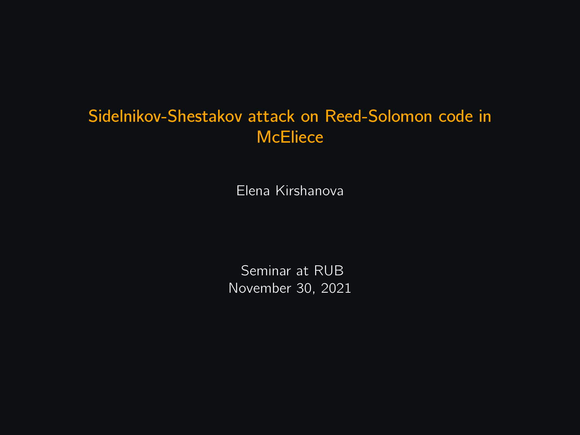### Sidelnikov-Shestakov attack on Reed-Solomon code in **McEliece**

Elena Kirshanova

Seminar at RUB November 30, 2021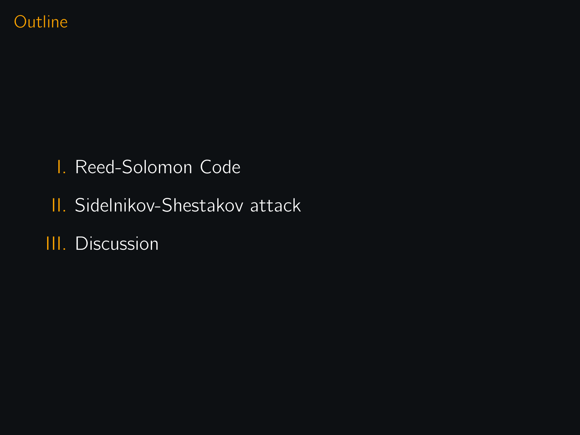### **Outline**

- I. Reed-Solomon Code
- II. Sidelnikov-Shestakov attack
- III. Discussion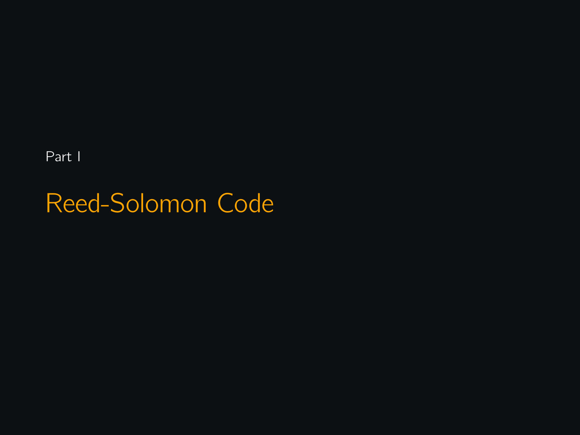Part I

Reed-Solomon Code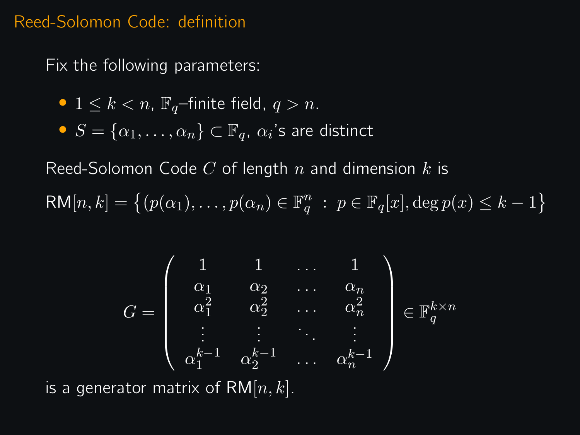### Reed-Solomon Code: definition

Fix the following parameters:

• 
$$
1 \leq k < n
$$
,  $\mathbb{F}_q$ -finite field,  $q > n$ .

• 
$$
S = \{\alpha_1, \ldots, \alpha_n\} \subset \mathbb{F}_q
$$
,  $\alpha_i$ 's are distinct

Reed-Solomon Code  $C$  of length  $n$  and dimension  $k$  is

 $\mathsf{RM}[n,k] = \left\{ (p(\alpha_1), \ldots, p(\alpha_n) \in \mathbb{F}_q^n : p \in \mathbb{F}_q[x], \deg p(x) \leq k-1 \right\}$ 

$$
G = \left(\begin{array}{ccccc}1 & 1 & \ldots & 1 \\ \alpha_1 & \alpha_2 & \ldots & \alpha_n \\ \alpha_1^2 & \alpha_2^2 & \ldots & \alpha_n^2 \\ \vdots & \vdots & \ddots & \vdots \\ \alpha_1^{k-1} & \alpha_2^{k-1} & \ldots & \alpha_n^{k-1}\end{array}\right) \in \mathbb{F}_q^{k \times n}
$$

is a generator matrix of RM $[n, k]$ .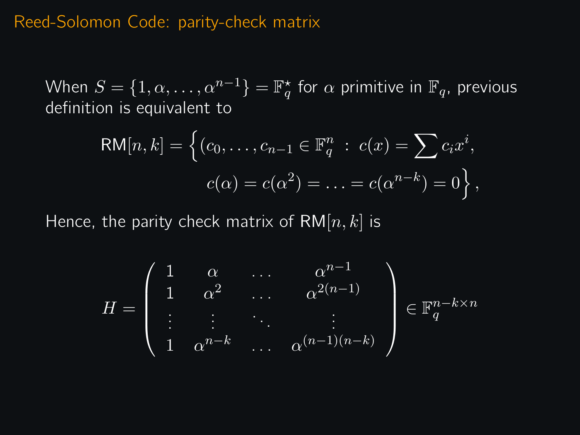### Reed-Solomon Code: parity-check matrix

When  $S=\{1,\alpha,\ldots,\alpha^{n-1}\}=\mathbb{F}_q^{\star}$  for  $\alpha$  primitive in  $\mathbb{F}_q$ , previous definition is equivalent to

$$
RM[n,k] = \left\{ (c_0, \dots, c_{n-1} \in \mathbb{F}_q^n : c(x) = \sum c_i x^i, \ c(\alpha) = c(\alpha^2) = \dots = c(\alpha^{n-k}) = 0 \right\},\
$$

Hence, the parity check matrix of  $RM[n, k]$  is

$$
H = \left(\begin{array}{cccc} 1 & \alpha & \dots & \alpha^{n-1} \\ 1 & \alpha^2 & \dots & \alpha^{2(n-1)} \\ \vdots & \vdots & \ddots & \vdots \\ 1 & \alpha^{n-k} & \dots & \alpha^{(n-1)(n-k)} \end{array}\right) \in \mathbb{F}_q^{n-k \times n}
$$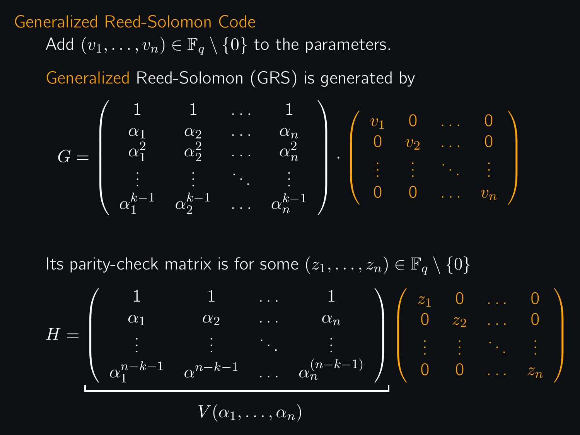### Generalized Reed-Solomon Code

Add  $(v_1, \ldots, v_n) \in \mathbb{F}_q \setminus \{0\}$  to the parameters.

Generalized Reed-Solomon (GRS) is generated by



Its parity-check matrix is for some  $(z_1, \ldots, z_n) \in \mathbb{F}_q \setminus \{0\}$ 

$$
H = \begin{pmatrix} 1 & 1 & \dots & 1 \\ \alpha_1 & \alpha_2 & \dots & \alpha_n \\ \vdots & \vdots & \ddots & \vdots \\ \alpha_1^{n-k-1} & \alpha^{n-k-1} & \dots & \alpha_n^{(n-k-1)} \end{pmatrix} \begin{pmatrix} z_1 & 0 & \dots & 0 \\ 0 & z_2 & \dots & 0 \\ \vdots & \vdots & \ddots & \vdots \\ 0 & 0 & \dots & z_n \end{pmatrix}
$$

$$
V(\alpha_1, \dots, \alpha_n)
$$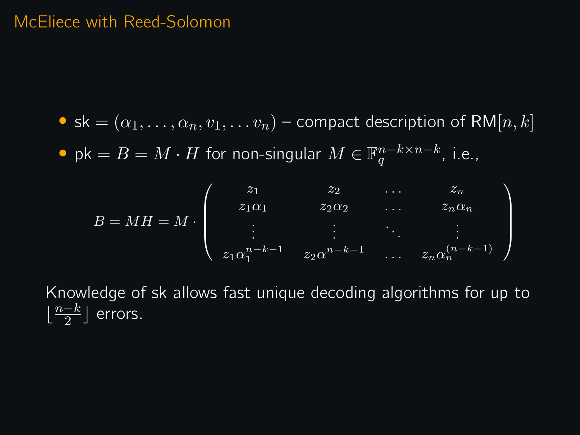### McEliece with Reed-Solomon

• sk =  $(\alpha_1, \ldots, \alpha_n, v_1, \ldots, v_n)$  – compact description of RM[n, k] • pk =  $B = M \cdot H$  for non-singular  $M \in \mathbb{F}_q^{n-k \times n-k}$ , i.e.,

 $B = MH = M$ .  $\sqrt{ }$  $\overline{\phantom{a}}$  $z_1$   $z_2$  ...  $z_n$  $z_1\alpha_1$   $z_2\alpha_2$  ...  $z_n\alpha_n$  $z_1\alpha_1^{n-k-1}$   $z_2\alpha^{n-k-1}$  ...  $z_n\alpha_n^{(n-k-1)}$  $\setminus$  $\Big\}$ 

Knowledge of sk allows fast unique decoding algorithms for up to  $\lfloor \frac{n-k}{2} \rfloor$  $\frac{-k}{2}$  errors.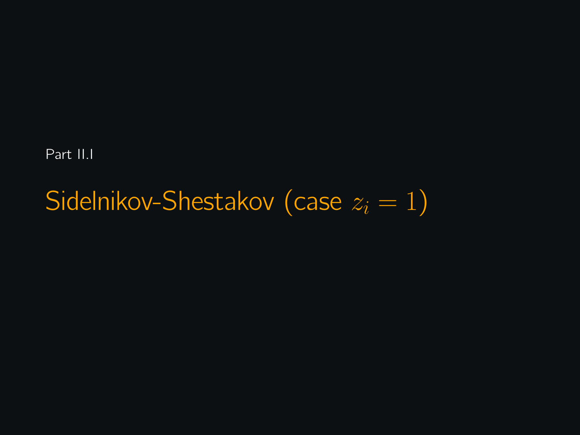Part II.I

# Sidelnikov-Shestakov (case  $z_i = 1$ )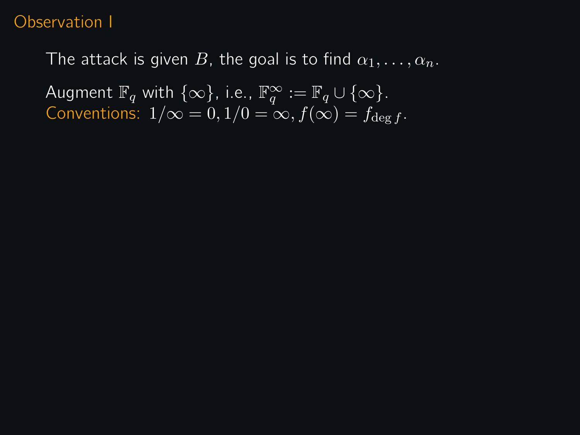### Observation I

The attack is given B, the goal is to find  $\alpha_1, \ldots, \alpha_n$ .

Augment  $\mathbb{F}_q$  with  $\{\infty\}$ , i.e.,  $\mathbb{F}_q^{\infty} := \mathbb{F}_q \cup \{\infty\}$ . Conventions:  $1/\infty = 0, 1/0 = \infty, f(\infty) = f_{\text{deg }f}$ .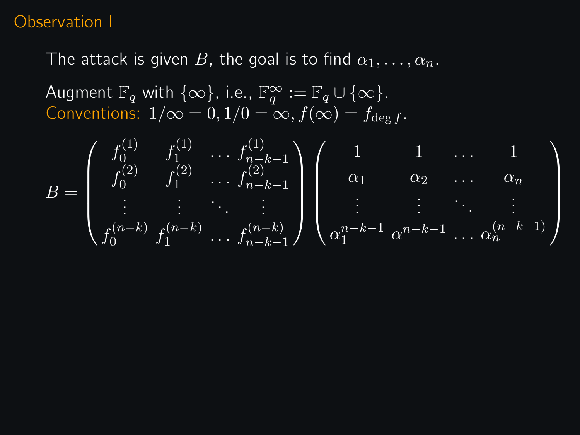### Observation I

The attack is given B, the goal is to find  $\alpha_1, \ldots, \alpha_n$ .

Augment  $\mathbb{F}_q$  with  $\{\infty\}$ , i.e.,  $\mathbb{F}_q^{\infty} := \mathbb{F}_q \cup \{\infty\}$ . Conventions:  $1/\infty = 0, 1/0 = \infty, f(\infty) = f_{\text{deg }f}$ .

$$
B = \begin{pmatrix} f_0^{(1)} & f_1^{(1)} & \cdots & f_{n-k-1}^{(1)} \\ f_0^{(2)} & f_1^{(2)} & \cdots & f_{n-k-1}^{(2)} \\ \vdots & \vdots & \ddots & \vdots \\ f_0^{(n-k)} & f_1^{(n-k)} & \cdots & f_{n-k-1}^{(n-k)} \end{pmatrix} \begin{pmatrix} 1 & 1 & \cdots & 1 \\ \alpha_1 & \alpha_2 & \cdots & \alpha_n \\ \vdots & \vdots & \ddots & \vdots \\ \alpha_1^{n-k-1} & \alpha^{n-k-1} & \cdots & \alpha_n^{(n-k-1)} \end{pmatrix}
$$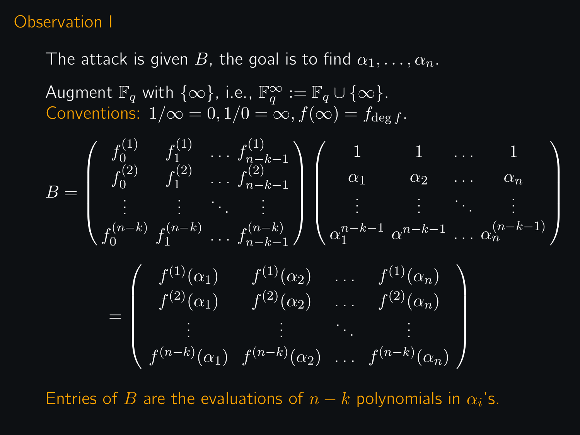### Observation I

The attack is given B, the goal is to find  $\alpha_1, \ldots, \alpha_n$ .

Augment  $\mathbb{F}_q$  with  $\{\infty\}$ , i.e.,  $\mathbb{F}_q^{\infty} := \mathbb{F}_q \cup \{\infty\}$ . Conventions:  $1/\infty = 0$ ,  $1/0 = \infty$ ,  $f(\infty) = f_{\text{deg }f}$ .

$$
B = \begin{pmatrix} f_0^{(1)} & f_1^{(1)} & \cdots & f_{n-k-1}^{(1)} \\ f_0^{(2)} & f_1^{(2)} & \cdots & f_{n-k-1}^{(2)} \\ \vdots & \vdots & \ddots & \vdots \\ f_0^{(n-k)} & f_1^{(n-k)} & \cdots & f_{n-k-1}^{(n-k)} \end{pmatrix} \begin{pmatrix} 1 & 1 & \cdots & 1 \\ \alpha_1 & \alpha_2 & \cdots & \alpha_n \\ \vdots & \vdots & \ddots & \vdots \\ \alpha_1^{n-k-1} & \alpha_1^{n-k-1} & \cdots & \alpha_n^{(n-k-1)} \end{pmatrix}
$$

$$
= \begin{pmatrix} f^{(1)}(\alpha_1) & f^{(1)}(\alpha_2) & \cdots & f^{(1)}(\alpha_n) \\ f^{(2)}(\alpha_1) & f^{(2)}(\alpha_2) & \cdots & f^{(2)}(\alpha_n) \\ \vdots & \vdots & \ddots & \vdots \\ f^{(n-k)}(\alpha_1) & f^{(n-k)}(\alpha_2) & \cdots & f^{(n-k)}(\alpha_n) \end{pmatrix}
$$

Entries of B are the evaluations of  $n - k$  polynomials in  $\alpha_i$ 's.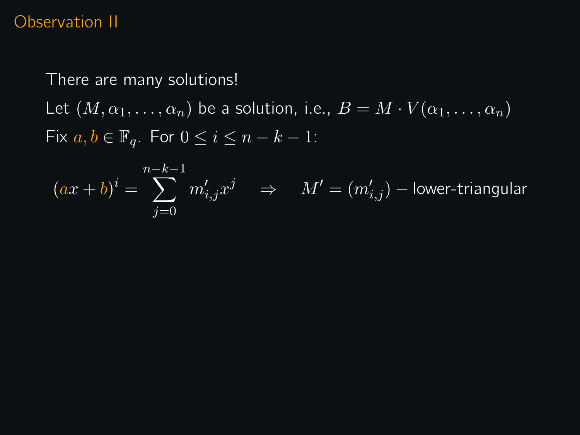### Observation II

There are many solutions!

Let  $(\overline{M}, \alpha_1, \ldots, \alpha_n)$  be a solution, i.e.,  $B = M \cdot V(\alpha_1, \ldots, \alpha_n)$ Fix  $a, b \in \mathbb{F}_q$ . For  $0 \leq i \leq n-k-1$ :

$$
(ax+b)^i = \sum_{j=0}^{n-k-1} m'_{i,j} x^j \quad \Rightarrow \quad M' = (m'_{i,j}) - \text{lower-triangular}
$$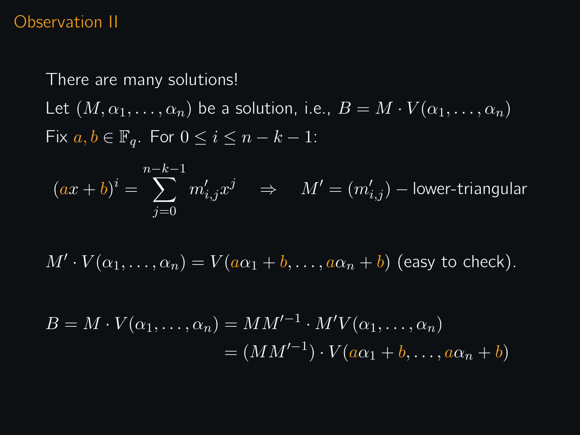### Observation II

There are many solutions!

Let  $(M, \alpha_1, \ldots, \alpha_n)$  be a solution, i.e.,  $B = M \cdot V(\alpha_1, \ldots, \alpha_n)$ Fix  $a, b \in \mathbb{F}_q$ . For  $0 \leq i \leq n-k-1$ :

$$
(ax+b)^i = \sum_{j=0}^{n-k-1} m'_{i,j} x^j \quad \Rightarrow \quad M' = (m'_{i,j}) - \text{lower-triangular}
$$

 $M' \cdot V(\alpha_1, \ldots, \alpha_n) = V(a\alpha_1 + b, \ldots, a\alpha_n + b)$  (easy to check).

$$
B = M \cdot V(\alpha_1, \dots, \alpha_n) = MM'^{-1} \cdot M'V(\alpha_1, \dots, \alpha_n)
$$
  
=  $(MM'^{-1}) \cdot V(a\alpha_1 + b, \dots, a\alpha_n + b)$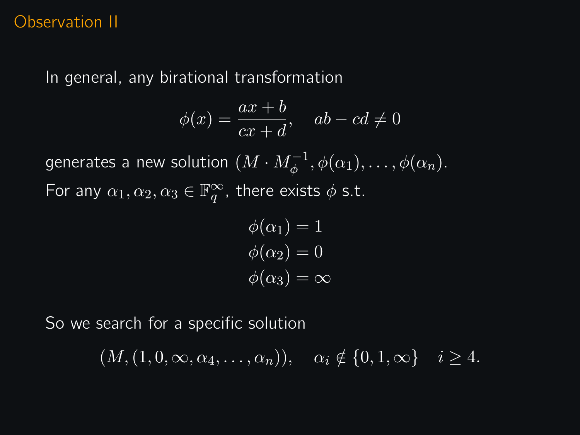### Observation II

In general, any birational transformation

$$
\phi(x) = \frac{ax+b}{cx+d}, \quad ab - cd \neq 0
$$

generates a new solution  $(M\cdot M_\phi^{-1},\phi(\alpha_1),\ldots,\phi(\alpha_n).$ For any  $\alpha_1, \alpha_2, \alpha_3 \in \mathbb{F}_q^{\infty}$ , there exists  $\phi$  s.t.

$$
\phi(\alpha_1) = 1
$$
  

$$
\phi(\alpha_2) = 0
$$
  

$$
\phi(\alpha_3) = \infty
$$

So we search for a specific solution

 $(M,(1,0,\infty,\overline{\alpha_4,\ldots,\alpha_n}))$ ,  $\alpha_i \notin \{0,1,\infty\}$   $i \geq 4$ .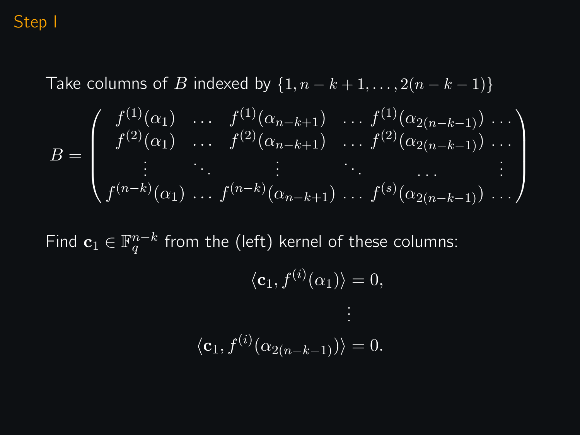### Step I

Take columns of B indexed by  $\{1, n - k + 1, \ldots, 2(n - k - 1)\}\$ 

$$
B = \begin{pmatrix} f^{(1)}(\alpha_1) & \cdots & f^{(1)}(\alpha_{n-k+1}) & \cdots & f^{(1)}(\alpha_{2(n-k-1)}) & \cdots \\ f^{(2)}(\alpha_1) & \cdots & f^{(2)}(\alpha_{n-k+1}) & \cdots & f^{(2)}(\alpha_{2(n-k-1)}) & \cdots \\ \vdots & \ddots & \vdots & \ddots & \vdots & \vdots \\ f^{(n-k)}(\alpha_1) & \cdots & f^{(n-k)}(\alpha_{n-k+1}) & \cdots & f^{(s)}(\alpha_{2(n-k-1)}) & \cdots \end{pmatrix}
$$

Find  $\mathbf{c}_1 \in \mathbb{F}_q^{n-k}$  from the (left) kernel of these columns:

$$
\langle \mathbf{c}_1, f^{(i)}(\alpha_1) \rangle = 0,
$$
  

$$
\vdots
$$
  

$$
\langle \mathbf{c}_1, f^{(i)}(\alpha_{2(n-k-1)}) \rangle = 0.
$$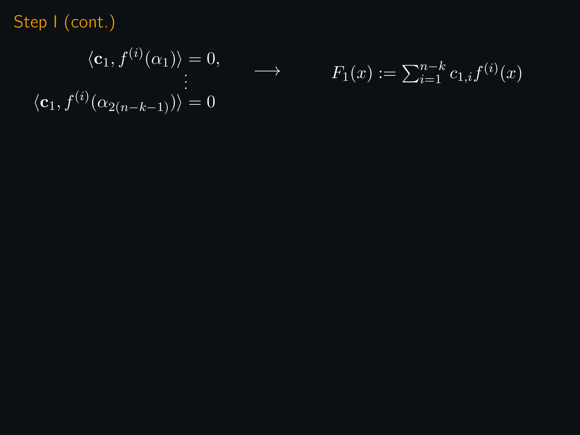$$
\langle \mathbf{c}_1, f^{(i)}(\alpha_1) \rangle = 0, \qquad \longrightarrow
$$

$$
\langle \mathbf{c}_1, f^{(i)}(\alpha_{2(n-k-1)}) \rangle = 0
$$

$$
F_1(x) := \sum_{i=1}^{n-k} c_{1,i} f^{(i)}(x)
$$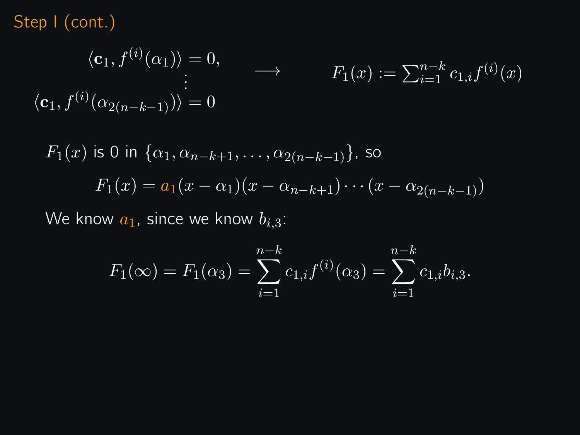$$
\langle \mathbf{c}_1, f^{(i)}(\alpha_1) \rangle = 0, \qquad \longrightarrow \qquad F_1(x) := \sum_{i=1}^{n-k} c_{1,i} f^{(i)}(x)
$$

$$
\langle \mathbf{c}_1, f^{(i)}(\alpha_{2(n-k-1)}) \rangle = 0
$$

$$
F_1(x) \text{ is 0 in } \{ \alpha_1, \alpha_{n-k+1}, \dots, \alpha_{2(n-k-1)} \}, \text{ so}
$$

$$
F_1(x) = a_1(x - \alpha_1)(x - \alpha_{n-k+1}) \cdots (x - \alpha_{2(n-k-1)})
$$

We know  $a_1$ , since we know  $b_{i,3}$ :

$$
F_1(\infty) = F_1(\alpha_3) = \sum_{i=1}^{n-k} c_{1,i} f^{(i)}(\alpha_3) = \sum_{i=1}^{n-k} c_{1,i} b_{i,3}.
$$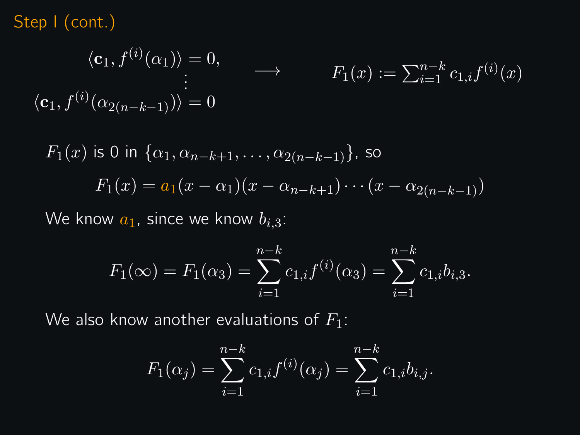$$
\langle \mathbf{c}_1, f^{(i)}(\alpha_1) \rangle = 0, \qquad \longrightarrow \qquad F_1(x) := \sum_{i=1}^{n-k} c_{1,i} f^{(i)}(x)
$$

$$
\langle \mathbf{c}_1, f^{(i)}(\alpha_{2(n-k-1)}) \rangle = 0
$$

$$
F_1(x) \text{ is 0 in } \{\alpha_1, \alpha_{n-k+1}, \dots, \alpha_{2(n-k-1)}\}, \text{ so}
$$

$$
F_1(x) = a_1(x - \alpha_1)(x - \alpha_{n-k+1}) \cdots (x - \alpha_{2(n-k-1)})
$$

We know  $a_1$ , since we know  $b_{i,3}$ :

$$
F_1(\infty) = F_1(\alpha_3) = \sum_{i=1}^{n-k} c_{1,i} f^{(i)}(\alpha_3) = \sum_{i=1}^{n-k} c_{1,i} b_{i,3}.
$$

We also know another evaluations of  $F_1$ :

$$
F_1(\alpha_j) = \sum_{i=1}^{n-k} c_{1,i} f^{(i)}(\alpha_j) = \sum_{i=1}^{n-k} c_{1,i} b_{i,j}.
$$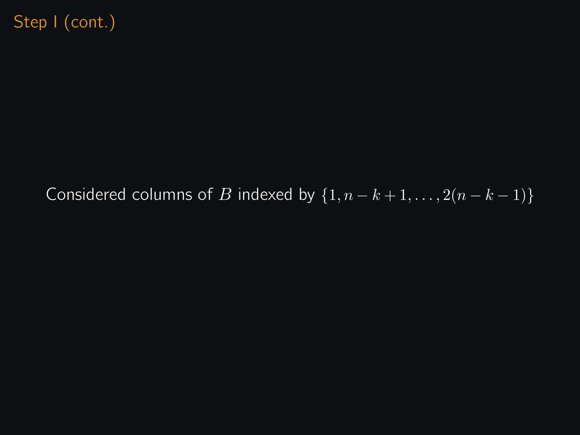# Considered columns of B indexed by  $\{1, n-k+1, \ldots, 2(n-k-1)\}$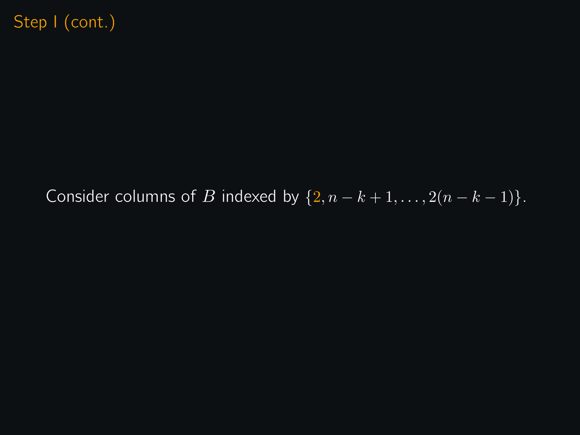# Consider columns of B indexed by  $\{2, n - k + 1, \ldots, 2(n - k - 1)\}.$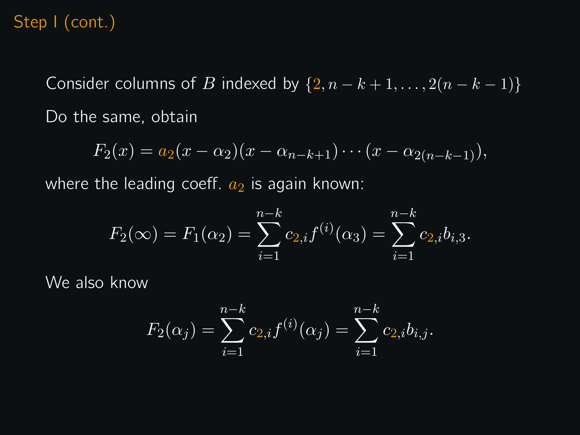Consider columns of B indexed by  $\{2, n - k + 1, \ldots, 2(n - k - 1)\}\$ Do the same, obtain

$$
F_2(x) = a_2(x - \alpha_2)(x - \alpha_{n-k+1}) \cdots (x - \alpha_{2(n-k-1)}),
$$

where the leading coeff.  $a_2$  is again known:

$$
F_2(\infty) = F_1(\alpha_2) = \sum_{i=1}^{n-k} c_{2,i} f^{(i)}(\alpha_3) = \sum_{i=1}^{n-k} c_{2,i} b_{i,3}.
$$

We also know

$$
F_2(\alpha_j) = \sum_{i=1}^{n-k} c_{2,i} f^{(i)}(\alpha_j) = \sum_{i=1}^{n-k} c_{2,i} b_{i,j}.
$$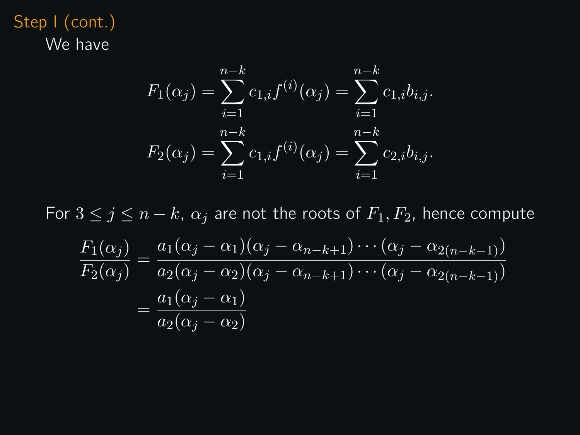Step I (cont.) We have

$$
F_1(\alpha_j) = \sum_{i=1}^{n-k} c_{1,i} f^{(i)}(\alpha_j) = \sum_{i=1}^{n-k} c_{1,i} b_{i,j}.
$$

$$
F_2(\alpha_j) = \sum_{i=1}^{n-k} c_{1,i} f^{(i)}(\alpha_j) = \sum_{i=1}^{n-k} c_{2,i} b_{i,j}.
$$

For  $3 \leq j \leq n-k$ ,  $\alpha_j$  are not the roots of  $F_1, F_2$ , hence compute  $F_1(\alpha_j)$  $\frac{F_1(\alpha_j)}{F_2(\alpha_j)} = \frac{a_1(\alpha_j - \alpha_1)(\alpha_j - \alpha_{n-k+1}) \cdots (\alpha_j - \alpha_{2(n-k-1)})}{a_2(\alpha_j - \alpha_2)(\alpha_j - \alpha_{n-k+1}) \cdots (\alpha_j - \alpha_{2(n-k-1)})}$  $a_2(\alpha_j-\alpha_2)(\alpha_j-\alpha_{n-k+1})\cdots (\alpha_j-\alpha_{2(n-k-1)})$  $=\frac{a_1(\alpha_j-\alpha_1)}{2}$  $a_2(\alpha_j - \alpha_2)$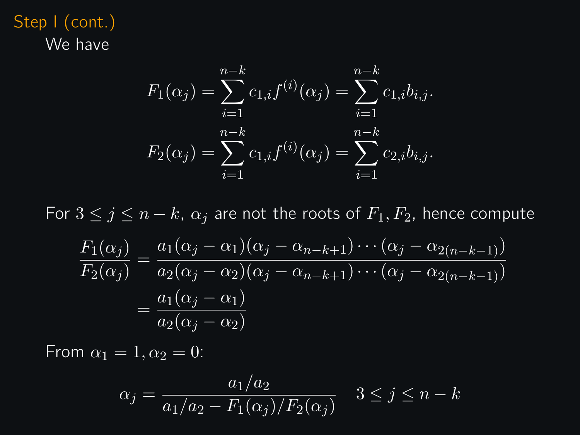Step I (cont.) We have

$$
F_1(\alpha_j) = \sum_{i=1}^{n-k} c_{1,i} f^{(i)}(\alpha_j) = \sum_{i=1}^{n-k} c_{1,i} b_{i,j}.
$$

$$
F_2(\alpha_j) = \sum_{i=1}^{n-k} c_{1,i} f^{(i)}(\alpha_j) = \sum_{i=1}^{n-k} c_{2,i} b_{i,j}.
$$

For  $3 \leq j \leq n-k$ ,  $\alpha_j$  are not the roots of  $F_1, F_2$ , hence compute

$$
\frac{F_1(\alpha_j)}{F_2(\alpha_j)} = \frac{a_1(\alpha_j - \alpha_1)(\alpha_j - \alpha_{n-k+1}) \cdots (\alpha_j - \alpha_{2(n-k-1)})}{a_2(\alpha_j - \alpha_2)(\alpha_j - \alpha_{n-k+1}) \cdots (\alpha_j - \alpha_{2(n-k-1)})}
$$

$$
= \frac{a_1(\alpha_j - \alpha_1)}{a_2(\alpha_j - \alpha_2)}
$$

From  $\alpha_1 = 1, \alpha_2 = 0$ :

$$
\alpha_j = \frac{a_1/a_2}{a_1/a_2 - F_1(\alpha_j)/F_2(\alpha_j)} \quad 3 \le j \le n - k
$$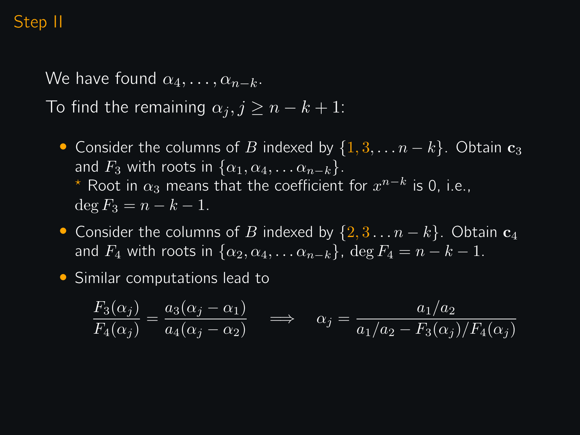### Step II

We have found  $\alpha_4, \ldots, \alpha_{n-k}$ . To find the remaining  $\alpha_i, j \geq n - k + 1$ :

- Consider the columns of B indexed by  $\{1, 3, \ldots n k\}$ . Obtain  $c_3$ and  $F_3$  with roots in  $\{\alpha_1, \alpha_4, \ldots \alpha_{n-k}\}.$  $^\star$  Root in  $\alpha_3$  means that the coefficient for  $x^{n-k}$  is 0, i.e.,  $\deg F_3 = n - k - 1.$
- Consider the columns of B indexed by  $\{2, 3 \ldots n k\}$ . Obtain  $c_4$ and  $F_4$  with roots in  $\{\alpha_2, \alpha_4, \ldots \alpha_{n-k}\}\,$ , deg  $F_4 = n - k - 1$ .
- Similar computations lead to

$$
\frac{F_3(\alpha_j)}{F_4(\alpha_j)} = \frac{a_3(\alpha_j - \alpha_1)}{a_4(\alpha_j - \alpha_2)} \quad \Longrightarrow \quad \alpha_j = \frac{a_1/a_2}{a_1/a_2 - F_3(\alpha_j)/F_4(\alpha_j)}
$$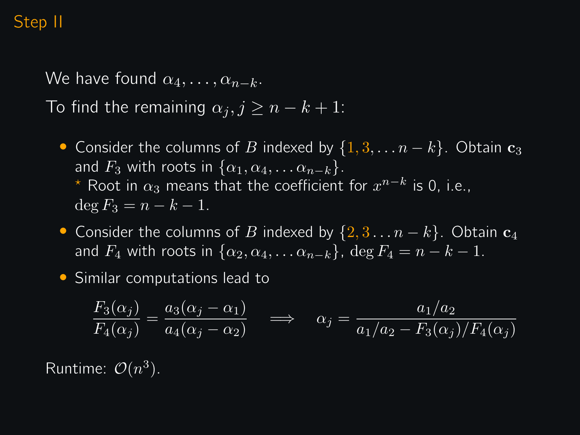### Step II

We have found  $\alpha_4, \ldots, \alpha_{n-k}$ . To find the remaining  $\alpha_j, j \geq n - k + 1$ :

- Consider the columns of B indexed by  $\{1, 3, \ldots n k\}$ . Obtain  $c_3$ and  $F_3$  with roots in  $\{\alpha_1, \alpha_4, \ldots \alpha_{n-k}\}.$  $^\star$  Root in  $\alpha_3$  means that the coefficient for  $x^{n-k}$  is 0, i.e.,  $\deg F_3 = n - k - 1.$
- Consider the columns of B indexed by  $\{2, 3 \ldots n k\}$ . Obtain  $\mathbf{c}_4$ and  $F_4$  with roots in  $\{\alpha_2, \alpha_4, \ldots \alpha_{n-k}\}\,$ , deg  $F_4 = n - k - 1$ .
- Similar computations lead to

$$
\frac{F_3(\alpha_j)}{F_4(\alpha_j)} = \frac{a_3(\alpha_j - \alpha_1)}{a_4(\alpha_j - \alpha_2)} \quad \Longrightarrow \quad \alpha_j = \frac{a_1/a_2}{a_1/a_2 - F_3(\alpha_j)/F_4(\alpha_j)}
$$

Runtime:  $\mathcal{O}(n^3)$ .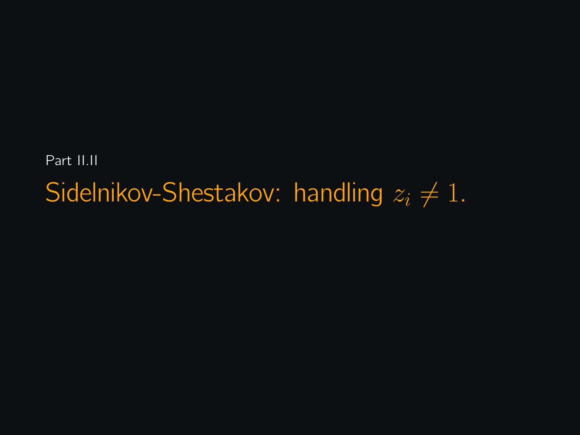Part II.II Sidelnikov-Shestakov: handling  $z_i \neq 1$ .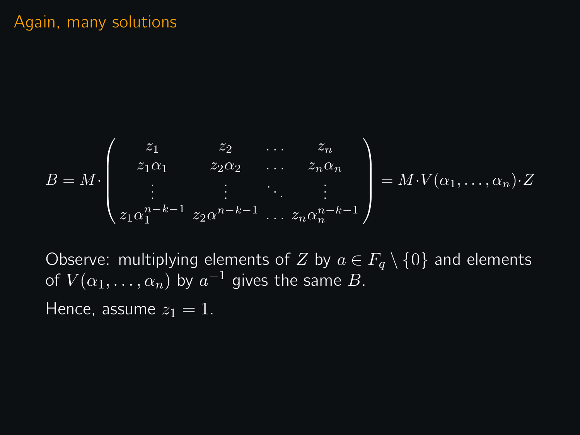$$
B = M \cdot \begin{pmatrix} z_1 & z_2 & \dots & z_n \\ z_1 \alpha_1 & z_2 \alpha_2 & \dots & z_n \alpha_n \\ \vdots & \vdots & \ddots & \vdots \\ z_1 \alpha_1^{n-k-1} & z_2 \alpha^{n-k-1} & \dots & z_n \alpha_n^{n-k-1} \end{pmatrix} = M \cdot V(\alpha_1, \dots, \alpha_n) \cdot Z
$$

Observe: multiplying elements of Z by  $a \in F_a \setminus \{0\}$  and elements of  $V(\alpha_1,\ldots,\alpha_n)$  by  $a^{-1}$  gives the same  $B.$ 

Hence, assume  $z_1 = 1$ .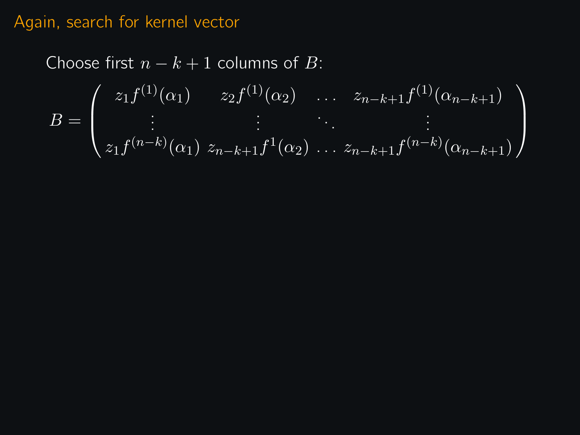### Again, search for kernel vector

Choose first  $n - k + 1$  columns of B:  $B =$  $\sqrt{ }$  $\overline{\mathcal{L}}$  $z_1 f^{(1)}(\alpha_1)$   $z_2 f^{(1)}(\alpha_2)$  ...  $z_{n-k+1} f^{(1)}(\alpha_{n-k+1})$  $z_1 f^{(n-k)}(\alpha_1) z_{n-k+1} f^{1}(\alpha_2) \ldots z_{n-k+1} f^{(n-k)}(\alpha_{n-k+1})$  $\setminus$  $\Big\}$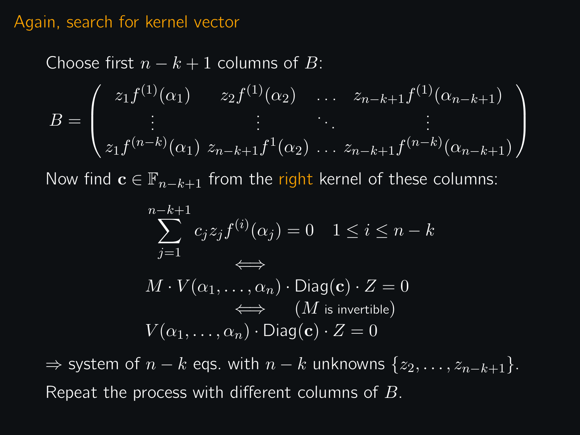### Again, search for kernel vector

Choose first 
$$
n - k + 1
$$
 columns of B:  
\n
$$
B = \begin{pmatrix} z_1 f^{(1)}(\alpha_1) & z_2 f^{(1)}(\alpha_2) & \dots & z_{n-k+1} f^{(1)}(\alpha_{n-k+1}) \\ \vdots & \vdots & \ddots & \vdots \\ z_1 f^{(n-k)}(\alpha_1) & z_{n-k+1} f^{(1)}(\alpha_2) & \dots & z_{n-k+1} f^{(n-k)}(\alpha_{n-k+1}) \end{pmatrix}
$$

Now find  $\mathbf{c} \in \mathbb{F}_{n-k+1}$  from the right kernel of these columns:

$$
\sum_{j=1}^{n-k+1} c_j z_j f^{(i)}(\alpha_j) = 0 \quad 1 \le i \le n-k
$$
  

$$
M \cdot V(\alpha_1, ..., \alpha_n) \cdot \text{Diag}(\mathbf{c}) \cdot Z = 0
$$
  

$$
\iff (M \text{ is invertible})
$$
  

$$
V(\alpha_1, ..., \alpha_n) \cdot \text{Diag}(\mathbf{c}) \cdot Z = 0
$$

 $\Rightarrow$  system of  $n - k$  eqs. with  $n - k$  unknowns  $\{z_2, \ldots, z_{n-k+1}\}.$ Repeat the process with different columns of B.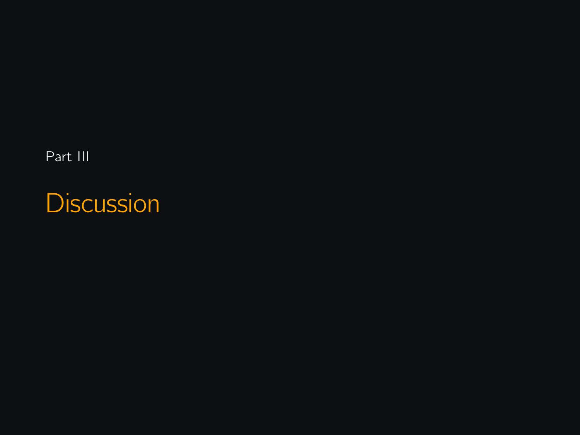Part III

**Discussion**